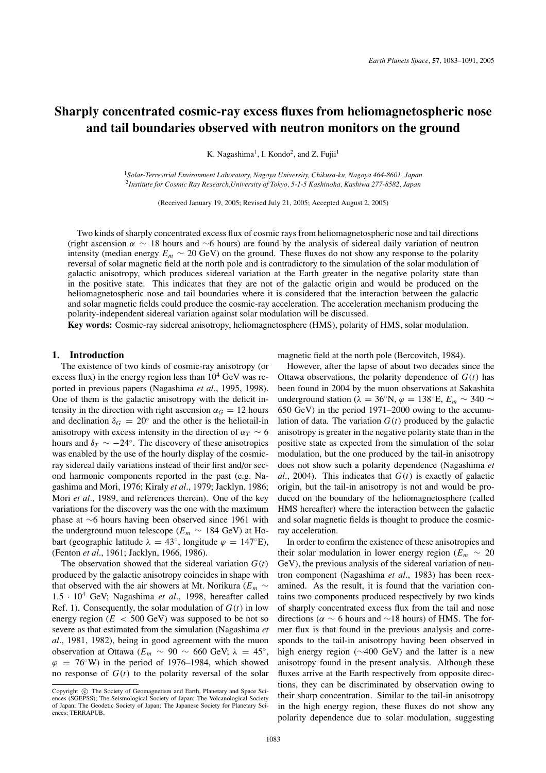# **Sharply concentrated cosmic-ray excess fluxes from heliomagnetospheric nose and tail boundaries observed with neutron monitors on the ground**

K. Nagashima<sup>1</sup>, I. Kondo<sup>2</sup>, and Z. Fujii<sup>1</sup>

<sup>1</sup>*Solar-Terrestrial Environment Laboratory, Nagoya University, Chikusa-ku, Nagoya 464-8601, Japan* <sup>2</sup>*Institute for Cosmic Ray Research,University of Tokyo, 5-1-5 Kashinoha, Kashiwa 277-8582, Japan*

(Received January 19, 2005; Revised July 21, 2005; Accepted August 2, 2005)

Two kinds of sharply concentrated excess flux of cosmic rays from heliomagnetospheric nose and tail directions (right ascension  $\alpha \sim 18$  hours and ∼6 hours) are found by the analysis of sidereal daily variation of neutron intensity (median energy  $E_m \sim 20$  GeV) on the ground. These fluxes do not show any response to the polarity reversal of solar magnetic field at the north pole and is contradictory to the simulation of the solar modulation of galactic anisotropy, which produces sidereal variation at the Earth greater in the negative polarity state than in the positive state. This indicates that they are not of the galactic origin and would be produced on the heliomagnetospheric nose and tail boundaries where it is considered that the interaction between the galactic and solar magnetic fields could produce the cosmic-ray acceleration. The acceleration mechanism producing the polarity-independent sidereal variation against solar modulation will be discussed.

**Key words:** Cosmic-ray sidereal anisotropy, heliomagnetosphere (HMS), polarity of HMS, solar modulation.

## **1. Introduction**

The existence of two kinds of cosmic-ray anisotropy (or excess flux) in the energy region less than  $10^4$  GeV was reported in previous papers (Nagashima *et al*., 1995, 1998). One of them is the galactic anisotropy with the deficit intensity in the direction with right ascension  $\alpha_G = 12$  hours and declination  $\delta_G = 20^\circ$  and the other is the heliotail-in anisotropy with excess intensity in the direction of  $\alpha_T \sim 6$ hours and  $\delta_T \sim -24^\circ$ . The discovery of these anisotropies was enabled by the use of the hourly display of the cosmicray sidereal daily variations instead of their first and/or second harmonic components reported in the past (e.g. Nagashima and Mori, 1976; Kiraly *et al*., 1979; Jacklyn, 1986; Mori *et al*., 1989, and references therein). One of the key variations for the discovery was the one with the maximum phase at ∼6 hours having been observed since 1961 with the underground muon telescope ( $E_m \sim 184$  GeV) at Hobart (geographic latitude  $\lambda = 43^\circ$ , longitude  $\varphi = 147^\circ$ E), (Fenton *et al*., 1961; Jacklyn, 1966, 1986).

The observation showed that the sidereal variation  $G(t)$ produced by the galactic anisotropy coincides in shape with that observed with the air showers at Mt. Norikura ( $E_m \sim$ <sup>1</sup>.<sup>5</sup> · <sup>10</sup><sup>4</sup> GeV; Nagashima *et al*., 1998, hereafter called Ref. 1). Consequently, the solar modulation of  $G(t)$  in low energy region  $(E < 500 \text{ GeV})$  was supposed to be not so severe as that estimated from the simulation (Nagashima *et al*., 1981, 1982), being in good agreement with the muon observation at Ottawa ( $E_m \sim 90 \sim 660$  GeV;  $\lambda = 45^\circ$ ,  $\varphi = 76°W$ ) in the period of 1976–1984, which showed no response of  $G(t)$  to the polarity reversal of the solar magnetic field at the north pole (Bercovitch, 1984).

However, after the lapse of about two decades since the Ottawa observations, the polarity dependence of  $G(t)$  has been found in 2004 by the muon observations at Sakashita underground station ( $\lambda = 36°$ N,  $\varphi = 138°$ E,  $E_m \sim 340 \sim$ 650 GeV) in the period 1971–2000 owing to the accumulation of data. The variation  $G(t)$  produced by the galactic anisotropy is greater in the negative polarity state than in the positive state as expected from the simulation of the solar modulation, but the one produced by the tail-in anisotropy does not show such a polarity dependence (Nagashima *et al.*, 2004). This indicates that  $G(t)$  is exactly of galactic origin, but the tail-in anisotropy is not and would be produced on the boundary of the heliomagnetosphere (called HMS hereafter) where the interaction between the galactic and solar magnetic fields is thought to produce the cosmicray acceleration.

In order to confirm the existence of these anisotropies and their solar modulation in lower energy region ( $E_m \sim 20$ ) GeV), the previous analysis of the sidereal variation of neutron component (Nagashima *et al*., 1983) has been reexamined. As the result, it is found that the variation contains two components produced respectively by two kinds of sharply concentrated excess flux from the tail and nose directions ( $\alpha \sim 6$  hours and ~18 hours) of HMS. The former flux is that found in the previous analysis and corresponds to the tail-in anisotropy having been observed in high energy region (∼400 GeV) and the latter is a new anisotropy found in the present analysis. Although these fluxes arrive at the Earth respectively from opposite directions, they can be discriminated by observation owing to their sharp concentration. Similar to the tail-in anisotropy in the high energy region, these fluxes do not show any polarity dependence due to solar modulation, suggesting

Copyright  $\odot$  The Society of Geomagnetism and Earth, Planetary and Space Sciences (SGEPSS); The Seismological Society of Japan; The Volcanological Society of Japan; The Geodetic Society of Japan; The Japanese Society for Planetary Sciences; TERRAPUB.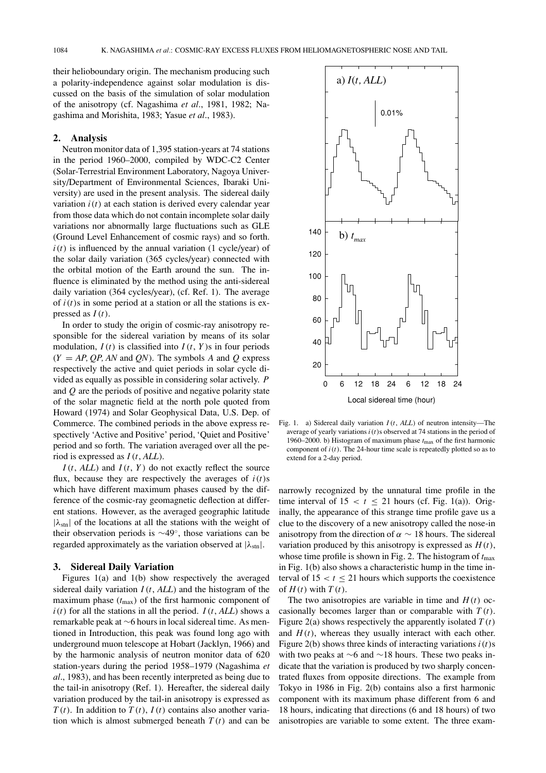their helioboundary origin. The mechanism producing such a polarity-independence against solar modulation is discussed on the basis of the simulation of solar modulation of the anisotropy (cf. Nagashima *et al*., 1981, 1982; Nagashima and Morishita, 1983; Yasue *et al*., 1983).

## **2. Analysis**

Neutron monitor data of 1,395 station-years at 74 stations in the period 1960–2000, compiled by WDC-C2 Center (Solar-Terrestrial Environment Laboratory, Nagoya University/Department of Environmental Sciences, Ibaraki University) are used in the present analysis. The sidereal daily variation  $i(t)$  at each station is derived every calendar year from those data which do not contain incomplete solar daily variations nor abnormally large fluctuations such as GLE (Ground Level Enhancement of cosmic rays) and so forth.  $i(t)$  is influenced by the annual variation (1 cycle/year) of the solar daily variation (365 cycles/year) connected with the orbital motion of the Earth around the sun. The influence is eliminated by the method using the anti-sidereal daily variation (364 cycles/year), (cf. Ref. 1). The average of  $i(t)$ s in some period at a station or all the stations is expressed as *I*(*t*).

In order to study the origin of cosmic-ray anisotropy responsible for the sidereal variation by means of its solar modulation,  $I(t)$  is classified into  $I(t, Y)$ s in four periods  $(Y = AP, OP, AN$  and *ON*). The symbols *A* and *O* express respectively the active and quiet periods in solar cycle divided as equally as possible in considering solar actively. *P* and *Q* are the periods of positive and negative polarity state of the solar magnetic field at the north pole quoted from Howard (1974) and Solar Geophysical Data, U.S. Dep. of Commerce. The combined periods in the above express respectively 'Active and Positive' period, 'Quiet and Positive' period and so forth. The variation averaged over all the period is expressed as *I*(*t*, *ALL*).

 $I(t, ALL)$  and  $I(t, Y)$  do not exactly reflect the source flux, because they are respectively the averages of  $i(t)$ s which have different maximum phases caused by the difference of the cosmic-ray geomagnetic deflection at different stations. However, as the averaged geographic latitude  $|\lambda_{\text{str}}|$  of the locations at all the stations with the weight of their observation periods is ∼49◦, those variations can be regarded approximately as the variation observed at  $|\lambda_{\rm stn}|$ .

# **3. Sidereal Daily Variation**

Figures 1(a) and 1(b) show respectively the averaged sidereal daily variation *I*(*t*, *ALL*) and the histogram of the maximum phase  $(t_{\text{max}})$  of the first harmonic component of  $i(t)$  for all the stations in all the period.  $I(t, ALL)$  shows a remarkable peak at ∼6 hours in local sidereal time. As mentioned in Introduction, this peak was found long ago with underground muon telescope at Hobart (Jacklyn, 1966) and by the harmonic analysis of neutron monitor data of 620 station-years during the period 1958–1979 (Nagashima *et al*., 1983), and has been recently interpreted as being due to the tail-in anisotropy (Ref. 1). Hereafter, the sidereal daily variation produced by the tail-in anisotropy is expressed as *T*(*t*). In addition to *T*(*t*), *I*(*t*) contains also another variation which is almost submerged beneath  $T(t)$  and can be



Fig. 1. a) Sidereal daily variation *I*(*t*, *ALL*) of neutron intensity—The average of yearly variations *i*(*t*)s observed at 74 stations in the period of 1960–2000. b) Histogram of maximum phase  $t_{\text{max}}$  of the first harmonic component of  $i(t)$ . The 24-hour time scale is repeatedly plotted so as to extend for a 2-day period.

narrowly recognized by the unnatural time profile in the time interval of  $15 < t \le 21$  hours (cf. Fig. 1(a)). Originally, the appearance of this strange time profile gave us a clue to the discovery of a new anisotropy called the nose-in anisotropy from the direction of  $\alpha \sim 18$  hours. The sidereal variation produced by this anisotropy is expressed as  $H(t)$ , whose time profile is shown in Fig. 2. The histogram of  $t_{\text{max}}$ in Fig. 1(b) also shows a characteristic hump in the time interval of  $15 < t \le 21$  hours which supports the coexistence of  $H(t)$  with  $T(t)$ .

The two anisotropies are variable in time and  $H(t)$  occasionally becomes larger than or comparable with *T* (*t*). Figure 2(a) shows respectively the apparently isolated  $T(t)$ and  $H(t)$ , whereas they usually interact with each other. Figure 2(b) shows three kinds of interacting variations  $i(t)$ s with two peaks at ∼6 and ∼18 hours. These two peaks indicate that the variation is produced by two sharply concentrated fluxes from opposite directions. The example from Tokyo in 1986 in Fig. 2(b) contains also a first harmonic component with its maximum phase different from 6 and 18 hours, indicating that directions (6 and 18 hours) of two anisotropies are variable to some extent. The three exam-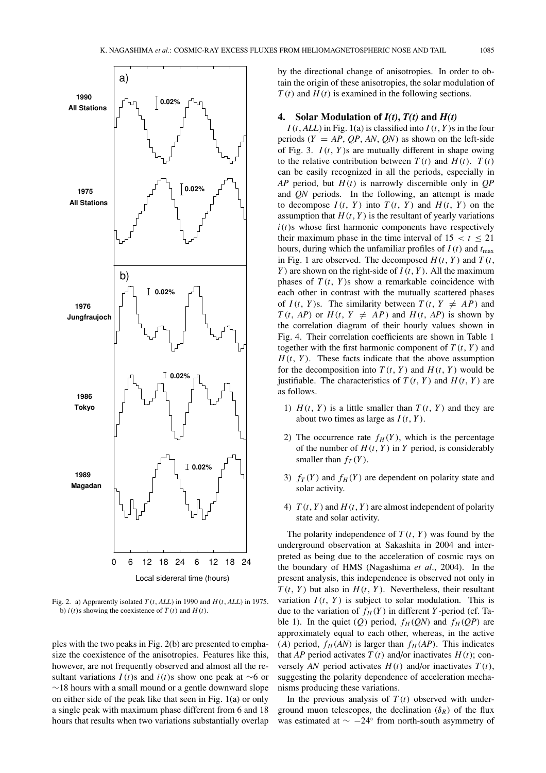

Fig. 2. a) Apprarently isolated *T* (*t*, *ALL*) in 1990 and *H*(*t*, *ALL*) in 1975. b)  $i(t)$  s showing the coexistence of  $T(t)$  and  $H(t)$ .

ples with the two peaks in Fig. 2(b) are presented to emphasize the coexistence of the anisotropies. Features like this, however, are not frequently observed and almost all the resultant variations  $I(t)$ s and  $i(t)$ s show one peak at ∼6 or ∼18 hours with a small mound or a gentle downward slope on either side of the peak like that seen in Fig. 1(a) or only a single peak with maximum phase different from 6 and 18 hours that results when two variations substantially overlap by the directional change of anisotropies. In order to obtain the origin of these anisotropies, the solar modulation of *T* (*t*) and *H*(*t*) is examined in the following sections.

# **4.** Solar Modulation of  $I(t)$ ,  $T(t)$  and  $H(t)$

 $I(t, ALL)$  in Fig. 1(a) is classified into  $I(t, Y)$ s in the four periods  $(Y = AP, OP, AN, ON)$  as shown on the left-side of Fig. 3. *I*(*t*, *Y* )s are mutually different in shape owing to the relative contribution between  $T(t)$  and  $H(t)$ .  $T(t)$ can be easily recognized in all the periods, especially in *AP* period, but *H*(*t*) is narrowly discernible only in *QP* and *QN* periods. In the following, an attempt is made to decompose  $I(t, Y)$  into  $T(t, Y)$  and  $H(t, Y)$  on the assumption that  $H(t, Y)$  is the resultant of yearly variations  $i(t)$ s whose first harmonic components have respectively their maximum phase in the time interval of  $15 < t \le 21$ hours, during which the unfamiliar profiles of  $I(t)$  and  $t_{\text{max}}$ in Fig. 1 are observed. The decomposed  $H(t, Y)$  and  $T(t, Y)$ *Y* ) are shown on the right-side of *I*(*t*, *Y* ). All the maximum phases of  $T(t, Y)$ s show a remarkable coincidence with each other in contrast with the mutually scattered phases of  $I(t, Y)$ s. The similarity between  $T(t, Y \neq AP)$  and *T*(*t*, *AP*) or *H*(*t*, *Y*  $\neq$  *AP*) and *H*(*t*, *AP*) is shown by the correlation diagram of their hourly values shown in Fig. 4. Their correlation coefficients are shown in Table 1 together with the first harmonic component of  $T(t, Y)$  and  $H(t, Y)$ . These facts indicate that the above assumption for the decomposition into  $T(t, Y)$  and  $H(t, Y)$  would be justifiable. The characteristics of  $T(t, Y)$  and  $H(t, Y)$  are as follows.

- 1)  $H(t, Y)$  is a little smaller than  $T(t, Y)$  and they are about two times as large as  $I(t, Y)$ .
- 2) The occurrence rate  $f_H(Y)$ , which is the percentage of the number of  $H(t, Y)$  in *Y* period, is considerably smaller than  $f_T(Y)$ .
- 3)  $f_T(Y)$  and  $f_H(Y)$  are dependent on polarity state and solar activity.
- 4)  $T(t, Y)$  and  $H(t, Y)$  are almost independent of polarity state and solar activity.

The polarity independence of  $T(t, Y)$  was found by the underground observation at Sakashita in 2004 and interpreted as being due to the acceleration of cosmic rays on the boundary of HMS (Nagashima *et al*., 2004). In the present analysis, this independence is observed not only in  $T(t, Y)$  but also in  $H(t, Y)$ . Nevertheless, their resultant variation  $I(t, Y)$  is subject to solar modulation. This is due to the variation of  $f_H(Y)$  in different *Y*-period (cf. Table 1). In the quiet (*Q*) period,  $f_H(QN)$  and  $f_H(QP)$  are approximately equal to each other, whereas, in the active (*A*) period,  $f_H(AN)$  is larger than  $f_H(AP)$ . This indicates that *AP* period activates  $T(t)$  and/or inactivates  $H(t)$ ; conversely *AN* period activates  $H(t)$  and/or inactivates  $T(t)$ , suggesting the polarity dependence of acceleration mechanisms producing these variations.

In the previous analysis of  $T(t)$  observed with underground muon telescopes, the declination  $(\delta_R)$  of the flux was estimated at  $\sim -24°$  from north-south asymmetry of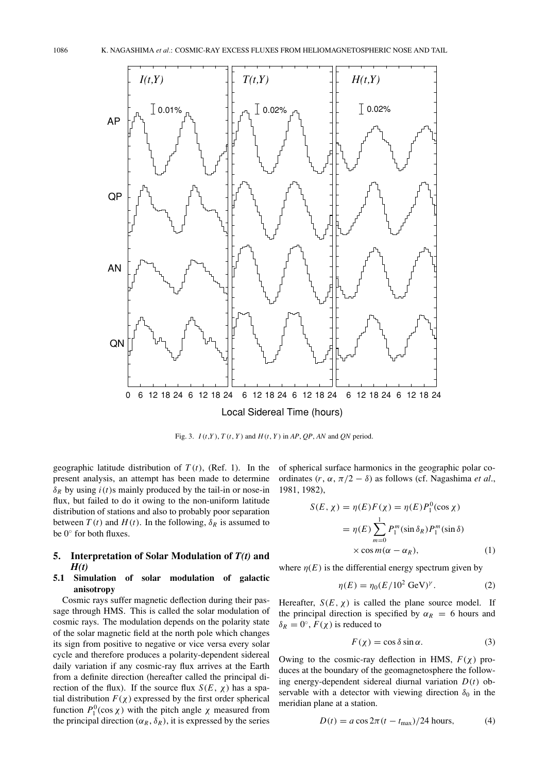

Fig. 3. *I*(*t*,*Y* ), *T* (*t*, *Y* ) and *H*(*t*, *Y* ) in *AP*, *QP*, *AN* and *QN* period.

geographic latitude distribution of  $T(t)$ , (Ref. 1). In the present analysis, an attempt has been made to determine  $\delta_R$  by using  $i(t)$ s mainly produced by the tail-in or nose-in flux, but failed to do it owing to the non-uniform latitude distribution of stations and also to probably poor separation between  $T(t)$  and  $H(t)$ . In the following,  $\delta_R$  is assumed to be 0◦ for both fluxes.

# **5. Interpretation of Solar Modulation of** *T(t)* **and** *H(t)*

# **5.1 Simulation of solar modulation of galactic anisotropy**

Cosmic rays suffer magnetic deflection during their passage through HMS. This is called the solar modulation of cosmic rays. The modulation depends on the polarity state of the solar magnetic field at the north pole which changes its sign from positive to negative or vice versa every solar cycle and therefore produces a polarity-dependent sidereal daily variation if any cosmic-ray flux arrives at the Earth from a definite direction (hereafter called the principal direction of the flux). If the source flux  $S(E, \chi)$  has a spatial distribution  $F(\chi)$  expressed by the first order spherical function  $P_1^0(\cos \chi)$  with the pitch angle  $\chi$  measured from the principal direction ( $\alpha_R$ ,  $\delta_R$ ), it is expressed by the series

of spherical surface harmonics in the geographic polar coordinates  $(r, \alpha, \pi/2 - \delta)$  as follows (cf. Nagashima *et al.*, 1981, 1982),

$$
S(E, \chi) = \eta(E)F(\chi) = \eta(E)P_1^0(\cos \chi)
$$
  
= 
$$
\eta(E) \sum_{m=0}^{1} P_1^m(\sin \delta_R) P_1^m(\sin \delta)
$$
  

$$
\times \cos m(\alpha - \alpha_R), \qquad (1)
$$

where  $\eta(E)$  is the differential energy spectrum given by

$$
\eta(E) = \eta_0 (E/10^2 \text{ GeV})^{\gamma}.
$$
 (2)

Hereafter,  $S(E, \chi)$  is called the plane source model. If the principal direction is specified by  $\alpha_R = 6$  hours and  $\delta_R = 0^\circ$ ,  $F(\chi)$  is reduced to

$$
F(\chi) = \cos \delta \sin \alpha. \tag{3}
$$

Owing to the cosmic-ray deflection in HMS, *F*(χ) produces at the boundary of the geomagnetosphere the following energy-dependent sidereal diurnal variation *D*(*t*) observable with a detector with viewing direction  $\delta_0$  in the meridian plane at a station.

$$
D(t) = a \cos 2\pi (t - t_{\text{max}})/24 \text{ hours},\tag{4}
$$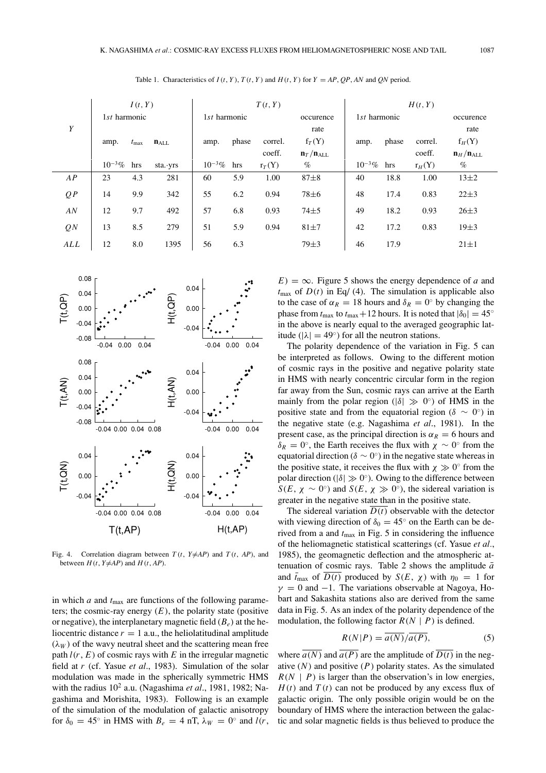|     | I(t, Y)      |               |           | T(t, Y)      |       |          |                                 | H(t, Y)      |       |          |                                   |
|-----|--------------|---------------|-----------|--------------|-------|----------|---------------------------------|--------------|-------|----------|-----------------------------------|
|     | 1st harmonic |               |           | 1st harmonic |       |          | occurence                       | 1st harmonic |       |          | occurence                         |
| Y   |              |               |           |              |       |          | rate                            |              |       |          | rate                              |
|     | amp.         | $t_{\rm max}$ | $n_{ALL}$ | amp.         | phase | correl.  | $f_T(Y)$                        | amp.         | phase | correl.  | $f_H(Y)$                          |
|     |              |               |           |              |       | coeff.   | $\mathbf{n}_T/\mathbf{n}_{ALL}$ |              |       | coeff.   | $\mathbf{n}_{H}/\mathbf{n}_{ALL}$ |
|     | $10^{-3}\%$  | hrs           | sta. yrs  | $10^{-3}\%$  | hrs   | $r_T(Y)$ | $\%$                            | $10^{-3}\%$  | hrs   | $r_H(Y)$ | $\%$                              |
| AP  | 23           | 4.3           | 281       | 60           | 5.9   | 1.00     | $87 + 8$                        | 40           | 18.8  | 1.00     | $13\pm2$                          |
| QP  | 14           | 9.9           | 342       | 55           | 6.2   | 0.94     | $78 + 6$                        | 48           | 17.4  | 0.83     | $22 \pm 3$                        |
| AN  | 12           | 9.7           | 492       | 57           | 6.8   | 0.93     | $74 + 5$                        | 49           | 18.2  | 0.93     | $26 + 3$                          |
| QN  | 13           | 8.5           | 279       | 51           | 5.9   | 0.94     | $81\pm7$                        | 42           | 17.2  | 0.83     | $19\pm3$                          |
| ALL | 12           | 8.0           | 1395      | 56           | 6.3   |          | $79\pm3$                        | 46           | 17.9  |          | $21 \pm 1$                        |

Table 1. Characteristics of  $I(t, Y)$ ,  $T(t, Y)$  and  $H(t, Y)$  for  $Y = AP$ , *QP*, *AN* and *QN* period.



Fig. 4. Correlation diagram between  $T(t, Y \neq AP)$  and  $T(t, AP)$ , and between  $H(t, Y \neq AP)$  and  $H(t, AP)$ .

in which *a* and  $t_{\text{max}}$  are functions of the following parameters; the cosmic-ray energy  $(E)$ , the polarity state (positive or negative), the interplanetary magnetic field  $(B_e)$  at the heliocentric distance  $r = 1$  a.u., the heliolatitudinal amplitude  $(\lambda_W)$  of the wavy neutral sheet and the scattering mean free path  $l(r, E)$  of cosmic rays with  $E$  in the irregular magnetic field at *r* (cf. Yasue *et al*., 1983). Simulation of the solar modulation was made in the spherically symmetric HMS with the radius 10<sup>2</sup> a.u. (Nagashima *et al*., 1981, 1982; Nagashima and Morishita, 1983). Following is an example of the simulation of the modulation of galactic anisotropy for  $\delta_0 = 45^\circ$  in HMS with  $B_e = 4$  nT,  $\lambda_W = 0^\circ$  and  $l(r,$   $E$ ) =  $\infty$ . Figure 5 shows the energy dependence of *a* and  $t_{\text{max}}$  of  $D(t)$  in Eq/ (4). The simulation is applicable also to the case of  $\alpha_R = 18$  hours and  $\delta_R = 0^\circ$  by changing the phase from  $t_{\text{max}}$  to  $t_{\text{max}}+12$  hours. It is noted that  $|\delta_0| = 45^\circ$ in the above is nearly equal to the averaged geographic latitude ( $|\lambda| = 49^\circ$ ) for all the neutron stations.

The polarity dependence of the variation in Fig. 5 can be interpreted as follows. Owing to the different motion of cosmic rays in the positive and negative polarity state in HMS with nearly concentric circular form in the region far away from the Sun, cosmic rays can arrive at the Earth mainly from the polar region ( $|\delta| \gg 0^{\circ}$ ) of HMS in the positive state and from the equatorial region ( $\delta \sim 0^{\circ}$ ) in the negative state (e.g. Nagashima *et al*., 1981). In the present case, as the principal direction is  $\alpha_R = 6$  hours and  $δ<sub>R</sub> = 0<sup>∘</sup>$ , the Earth receives the flux with  $χ ∼ 0<sup>∘</sup>$  from the equatorial direction ( $\delta \sim 0^{\circ}$ ) in the negative state whereas in the positive state, it receives the flux with  $\chi \gg 0^{\circ}$  from the polar direction ( $|\delta| \gg 0^\circ$ ). Owing to the difference between *S*(*E*,  $\chi \sim 0$ <sup>o</sup>) and *S*(*E*,  $\chi \gg 0$ <sup>o</sup>), the sidereal variation is greater in the negative state than in the positive state.

The sidereal variation  $\overline{D(t)}$  observable with the detector with viewing direction of  $\delta_0 = 45^\circ$  on the Earth can be derived from a and *t*max in Fig. 5 in considering the influence of the heliomagnetic statistical scatterings (cf. Yasue *et al.*, 1985), the geomagnetic deflection and the atmospheric attenuation of cosmic rays. Table 2 shows the amplitude  $\bar{a}$ and  $\bar{t}_{\text{max}}$  of  $D(t)$  produced by  $S(E, \chi)$  with  $\eta_0 = 1$  for  $\gamma = 0$  and  $-1$ . The variations observable at Nagoya, Hobart and Sakashita stations also are derived from the same data in Fig. 5. As an index of the polarity dependence of the modulation, the following factor  $R(N | P)$  is defined.

$$
R(N|P) = \overline{a(N)}/\overline{a(P)},
$$
 (5)

where  $\overline{a(N)}$  and  $\overline{a(P)}$  are the amplitude of  $\overline{D(t)}$  in the negative  $(N)$  and positive  $(P)$  polarity states. As the simulated  $R(N \mid P)$  is larger than the observation's in low energies,  $H(t)$  and  $T(t)$  can not be produced by any excess flux of galactic origin. The only possible origin would be on the boundary of HMS where the interaction between the galactic and solar magnetic fields is thus believed to produce the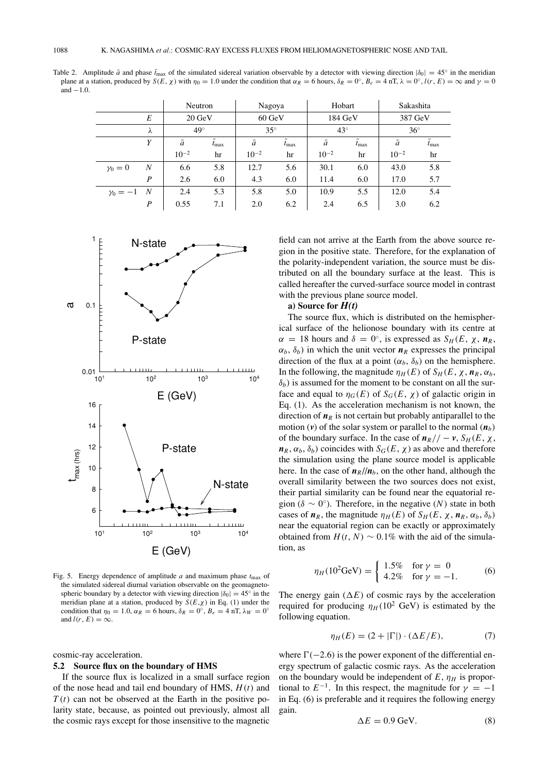Table 2. Amplitude  $\bar{a}$  and phase  $\bar{t}_{\text{max}}$  of the simulated sidereal variation observable by a detector with viewing direction  $|\delta_0| = 45^\circ$  in the meridian plane at a station, produced by  $S(E, \chi)$  with  $\eta_0 = 1.0$  under the condition that  $\alpha_R = 6$  hours,  $\delta_R = 0^\circ$ ,  $B_e = 4 \text{ nT}$ ,  $\lambda = 0^\circ$ ,  $l(r, E) = \infty$  and  $\gamma = 0$ and  $-1.0$ 

|                   |                  | Neutron          |               | Nagoya           |                  | Hobart     |                  | Sakashita  |                  |
|-------------------|------------------|------------------|---------------|------------------|------------------|------------|------------------|------------|------------------|
|                   | E                | $20 \text{ GeV}$ |               | $60 \text{ GeV}$ |                  | 184 GeV    |                  | 387 GeV    |                  |
|                   | λ                | $49^\circ$       |               | $35^{\circ}$     |                  | $43^\circ$ |                  | $36^\circ$ |                  |
|                   | Y                | ā                | $t_{\rm max}$ | ā                | $t_{\text{max}}$ | ā          | $t_{\text{max}}$ | ā          | $\bar{t}_{\max}$ |
|                   |                  | $10^{-2}$        | hr            | $10^{-2}$        | hr               | $10^{-2}$  | hr               | $10^{-2}$  | hr               |
| $\gamma_0=0$      | N                | 6.6              | 5.8           | 12.7             | 5.6              | 30.1       | 6.0              | 43.0       | 5.8              |
|                   | $\boldsymbol{P}$ | 2.6              | 6.0           | 4.3              | 6.0              | 11.4       | 6.0              | 17.0       | 5.7              |
| $\gamma_0 = -1$ N |                  | 2.4              | 5.3           | 5.8              | 5.0              | 10.9       | 5.5              | 12.0       | 5.4              |
|                   | P                | 0.55             | 7.1           | 2.0              | 6.2              | 2.4        | 6.5              | 3.0        | 6.2              |



Fig. 5. Energy dependence of amplitude  $a$  and maximum phase  $t_{\text{max}}$  of the simulated sidereal diurnal variation observable on the geomagnetospheric boundary by a detector with viewing direction  $|\delta_0| = 45^\circ$  in the meridian plane at a station, produced by  $S(E, \chi)$  in Eq. (1) under the condition that  $\eta_0 = 1.0$ ,  $\alpha_R = 6$  hours,  $\delta_R = 0^\circ$ ,  $B_e = 4$  nT,  $\lambda_W = 0^\circ$ and  $l(r, E) = \infty$ .

cosmic-ray acceleration.

#### **5.2 Source flux on the boundary of HMS**

If the source flux is localized in a small surface region of the nose head and tail end boundary of HMS, *H*(*t*) and  $T(t)$  can not be observed at the Earth in the positive polarity state, because, as pointed out previously, almost all the cosmic rays except for those insensitive to the magnetic

field can not arrive at the Earth from the above source region in the positive state. Therefore, for the explanation of the polarity-independent variation, the source must be distributed on all the boundary surface at the least. This is called hereafter the curved-surface source model in contrast with the previous plane source model.

## **a) Source for** *H(t)*

The source flux, which is distributed on the hemispherical surface of the helionose boundary with its centre at  $\alpha = 18$  hours and  $\delta = 0^\circ$ , is expressed as  $S_H(E, \chi, n_R)$ ,  $\alpha_b$ ,  $\delta_b$ ) in which the unit vector  $n_R$  expresses the principal direction of the flux at a point  $(\alpha_b, \delta_b)$  on the hemisphere. In the following, the magnitude  $\eta_H(E)$  of  $S_H(E, \chi, n_R, \alpha_b)$ ,  $\delta_b$ ) is assumed for the moment to be constant on all the surface and equal to  $\eta_G(E)$  of  $S_G(E, \chi)$  of galactic origin in Eq. (1). As the acceleration mechanism is not known, the direction of  $n<sub>R</sub>$  is not certain but probably antiparallel to the motion (*v*) of the solar system or parallel to the normal  $(n_b)$ of the boundary surface. In the case of  $n_R$ // –  $v$ ,  $S_H$ (*E*,  $\chi$ ,  $n_R$ ,  $\alpha_b$ ,  $\delta_b$ ) coincides with  $S_G(E, \chi)$  as above and therefore the simulation using the plane source model is applicable here. In the case of  $n_R / / n_b$ , on the other hand, although the overall similarity between the two sources does not exist, their partial similarity can be found near the equatorial region ( $\delta \sim 0^{\circ}$ ). Therefore, in the negative (N) state in both cases of  $n_R$ , the magnitude  $\eta_H(E)$  of  $S_H(E, \chi, n_R, \alpha_b, \delta_b)$ near the equatorial region can be exactly or approximately obtained from  $H(t, N) \sim 0.1\%$  with the aid of the simulation, as

$$
\eta_H(10^2 \text{GeV}) = \begin{cases} 1.5\% & \text{for } \gamma = 0\\ 4.2\% & \text{for } \gamma = -1. \end{cases}
$$
 (6)

The energy gain  $(\Delta E)$  of cosmic rays by the acceleration required for producing  $\eta_H (10^2 \text{ GeV})$  is estimated by the following equation.

$$
\eta_H(E) = (2 + |\Gamma|) \cdot (\Delta E/E),\tag{7}
$$

where  $\Gamma(-2.6)$  is the power exponent of the differential energy spectrum of galactic cosmic rays. As the acceleration on the boundary would be independent of  $E$ ,  $\eta$ <sup>H</sup> is proportional to  $E^{-1}$ . In this respect, the magnitude for  $\gamma = -1$ in Eq. (6) is preferable and it requires the following energy gain.

$$
\Delta E = 0.9 \,\text{GeV}.\tag{8}
$$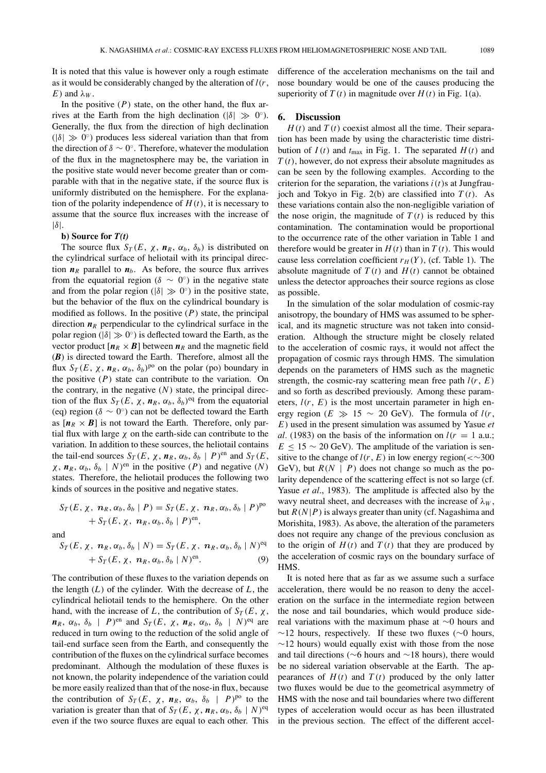It is noted that this value is however only a rough estimate as it would be considerably changed by the alteration of *l*(*r*, *E*) and  $\lambda_W$ .

In the positive  $(P)$  state, on the other hand, the flux arrives at the Earth from the high declination ( $|\delta| \gg 0^\circ$ ). Generally, the flux from the direction of high declination  $(|\delta| \gg 0^{\circ})$  produces less sidereal variation than that from the direction of  $\delta \sim 0^{\circ}$ . Therefore, whatever the modulation of the flux in the magnetosphere may be, the variation in the positive state would never become greater than or comparable with that in the negative state, if the source flux is uniformly distributed on the hemisphere. For the explanation of the polarity independence of  $H(t)$ , it is necessary to assume that the source flux increases with the increase of  $|\delta|$ .

# **b) Source for** *T(t)*

The source flux  $S_T(E, \chi, n_R, \alpha_b, \delta_b)$  is distributed on the cylindrical surface of heliotail with its principal direction  $n<sub>R</sub>$  parallel to  $n<sub>b</sub>$ . As before, the source flux arrives from the equatorial region ( $\delta \sim 0^{\circ}$ ) in the negative state and from the polar region ( $|\delta| \gg 0^{\circ}$ ) in the positive state, but the behavior of the flux on the cylindrical boundary is modified as follows. In the positive (*P*) state, the principal direction  $n_R$  perpendicular to the cylindrical surface in the polar region ( $|\delta| \gg 0^\circ$ ) is deflected toward the Earth, as the vector product  $[n_R \times B]$  between  $n_R$  and the magnetic field (*B*) is directed toward the Earth. Therefore, almost all the flux  $S_T(E, \chi, n_R, \alpha_b, \delta_b)^{po}$  on the polar (po) boundary in the positive  $(P)$  state can contribute to the variation. On the contrary, in the negative  $(N)$  state, the principal direction of the flux  $S_T(E, \chi, n_R, \alpha_b, \delta_b)^{eq}$  from the equatorial (eq) region ( $\delta \sim 0^{\circ}$ ) can not be deflected toward the Earth as  $[n_R \times B]$  is not toward the Earth. Therefore, only partial flux with large  $\chi$  on the earth-side can contribute to the variation. In addition to these sources, the heliotail contains the tail-end sources  $S_T(E, \chi, n_R, \alpha_b, \delta_b | P)$ <sup>en</sup> and  $S_T(E, \chi)$  $\chi$ ,  $n_R$ ,  $\alpha_b$ ,  $\delta_b$  | *N*)<sup>en</sup> in the positive (*P*) and negative (*N*) states. Therefore, the heliotail produces the following two kinds of sources in the positive and negative states.

$$
S_T(E, \chi, \mathbf{n}_R, \alpha_b, \delta_b | P) = S_T(E, \chi, \mathbf{n}_R, \alpha_b, \delta_b | P)^{po}
$$
  
+ 
$$
S_T(E, \chi, \mathbf{n}_R, \alpha_b, \delta_b | P)^{en},
$$

and

$$
S_T(E, \chi, n_R, \alpha_b, \delta_b | N) = S_T(E, \chi, n_R, \alpha_b, \delta_b | N)^{eq}
$$
  
+ 
$$
S_T(E, \chi, n_R, \alpha_b, \delta_b | N)^{en}.
$$
 (9)

The contribution of these fluxes to the variation depends on the length (*L*) of the cylinder. With the decrease of *L*, the cylindrical heliotail tends to the hemisphere. On the other hand, with the increase of *L*, the contribution of  $S_T(E, \chi)$ ,  $n_R$ ,  $\alpha_b$ ,  $\delta_b$  | *P*)<sup>en</sup> and *S<sub>T</sub>*(*E*,  $\chi$ ,  $n_R$ ,  $\alpha_b$ ,  $\delta_b$  | *N*)<sup>eq</sup> are reduced in turn owing to the reduction of the solid angle of tail-end surface seen from the Earth, and consequently the contribution of the fluxes on the cylindrical surface becomes predominant. Although the modulation of these fluxes is not known, the polarity independence of the variation could be more easily realized than that of the nose-in flux, because the contribution of  $S_T(E, \chi, n_R, \alpha_b, \delta_b | P)^{po}$  to the variation is greater than that of  $S_T(E, \chi, \mathbf{n}_R, \alpha_b, \delta_b \mid N)^{eq}$ even if the two source fluxes are equal to each other. This difference of the acceleration mechanisms on the tail and nose boundary would be one of the causes producing the superiority of  $T(t)$  in magnitude over  $H(t)$  in Fig. 1(a).

## **6. Discussion**

 $H(t)$  and  $T(t)$  coexist almost all the time. Their separation has been made by using the characteristic time distribution of  $I(t)$  and  $t_{\text{max}}$  in Fig. 1. The separated  $H(t)$  and *T* (*t*), however, do not express their absolute magnitudes as can be seen by the following examples. According to the criterion for the separation, the variations  $i(t)$ s at Jungfraujoch and Tokyo in Fig. 2(b) are classified into  $T(t)$ . As these variations contain also the non-negligible variation of the nose origin, the magnitude of  $T(t)$  is reduced by this contamination. The contamination would be proportional to the occurrence rate of the other variation in Table 1 and therefore would be greater in  $H(t)$  than in  $T(t)$ . This would cause less correlation coefficient  $r_H(Y)$ , (cf. Table 1). The absolute magnitude of  $T(t)$  and  $H(t)$  cannot be obtained unless the detector approaches their source regions as close as possible.

In the simulation of the solar modulation of cosmic-ray anisotropy, the boundary of HMS was assumed to be spherical, and its magnetic structure was not taken into consideration. Although the structure might be closely related to the acceleration of cosmic rays, it would not affect the propagation of cosmic rays through HMS. The simulation depends on the parameters of HMS such as the magnetic strength, the cosmic-ray scattering mean free path  $l(r, E)$ and so forth as described previously. Among these parameters,  $l(r, E)$  is the most uncertain parameter in high energy region ( $E \gg 15 \sim 20$  GeV). The formula of  $l(r,$ *E*) used in the present simulation was assumed by Yasue *et al.* (1983) on the basis of the information on  $l(r = 1 \text{ a.u.};$  $E \le 15 \sim 20$  GeV). The amplitude of the variation is sensitive to the change of  $l(r, E)$  in low energy region(< $\sim$ 300 GeV), but  $R(N | P)$  does not change so much as the polarity dependence of the scattering effect is not so large (cf. Yasue *et al*., 1983). The amplitude is affected also by the wavy neutral sheet, and decreases with the increase of  $\lambda_W$ , but  $R(N|P)$  is always greater than unity (cf. Nagashima and Morishita, 1983). As above, the alteration of the parameters does not require any change of the previous conclusion as to the origin of  $H(t)$  and  $T(t)$  that they are produced by the acceleration of cosmic rays on the boundary surface of HMS.

It is noted here that as far as we assume such a surface acceleration, there would be no reason to deny the acceleration on the surface in the intermediate region between the nose and tail boundaries, which would produce sidereal variations with the maximum phase at ∼0 hours and  $∼12$  hours, respectively. If these two fluxes ( $∼0$  hours,  $\sim$ 12 hours) would equally exist with those from the nose and tail directions (∼6 hours and ∼18 hours), there would be no sidereal variation observable at the Earth. The appearances of  $H(t)$  and  $T(t)$  produced by the only latter two fluxes would be due to the geometrical asymmetry of HMS with the nose and tail boundaries where two different types of acceleration would occur as has been illustrated in the previous section. The effect of the different accel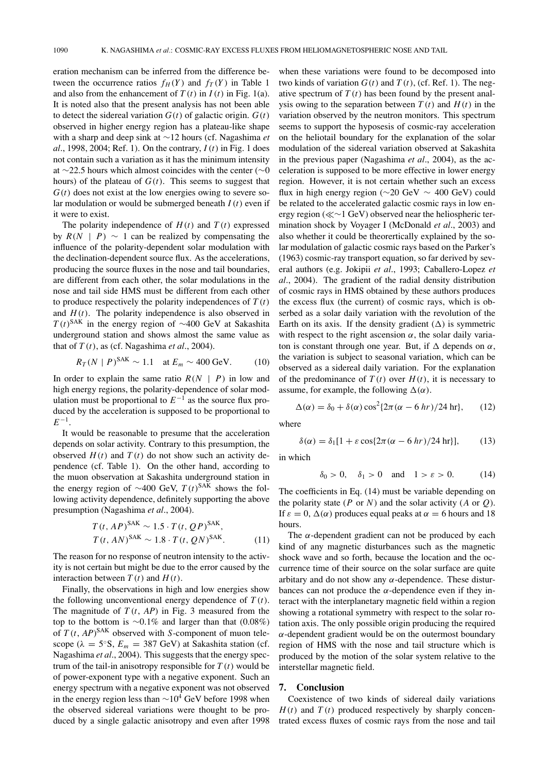eration mechanism can be inferred from the difference between the occurrence ratios  $f_H(Y)$  and  $f_T(Y)$  in Table 1 and also from the enhancement of  $T(t)$  in  $I(t)$  in Fig. 1(a). It is noted also that the present analysis has not been able to detect the sidereal variation  $G(t)$  of galactic origin.  $G(t)$ observed in higher energy region has a plateau-like shape with a sharp and deep sink at ∼12 hours (cf. Nagashima *et al*., 1998, 2004; Ref. 1). On the contrary, *I*(*t*) in Fig. 1 does not contain such a variation as it has the minimum intensity at ∼22.5 hours which almost coincides with the center (∼0 hours) of the plateau of  $G(t)$ . This seems to suggest that  $G(t)$  does not exist at the low energies owing to severe solar modulation or would be submerged beneath *I*(*t*) even if it were to exist.

The polarity independence of  $H(t)$  and  $T(t)$  expressed by  $R(N | P) \sim 1$  can be realized by compensating the influence of the polarity-dependent solar modulation with the declination-dependent source flux. As the accelerations, producing the source fluxes in the nose and tail boundaries, are different from each other, the solar modulations in the nose and tail side HMS must be different from each other to produce respectively the polarity independences of  $T(t)$ and  $H(t)$ . The polarity independence is also observed in  $T(t)$ <sup>SAK</sup> in the energy region of ~400 GeV at Sakashita underground station and shows almost the same value as that of  $T(t)$ , as (cf. Nagashima *et al.*, 2004).

$$
R_T(N \mid P)^{\text{SAK}} \sim 1.1 \quad \text{at } E_m \sim 400 \text{ GeV}.
$$
 (10)

In order to explain the same ratio  $R(N | P)$  in low and high energy regions, the polarity-dependence of solar modulation must be proportional to  $E^{-1}$  as the source flux produced by the acceleration is supposed to be proportional to *E*−1.

It would be reasonable to presume that the acceleration depends on solar activity. Contrary to this presumption, the observed  $H(t)$  and  $T(t)$  do not show such an activity dependence (cf. Table 1). On the other hand, according to the muon observation at Sakashita underground station in the energy region of ~400 GeV,  $T(t)^{SA\bar{K}}$  shows the following activity dependence, definitely supporting the above presumption (Nagashima *et al*., 2004).

$$
T(t, AP)^{\text{SAK}} \sim 1.5 \cdot T(t, QP)^{\text{SAK}},
$$
  
\n
$$
T(t, AN)^{\text{SAK}} \sim 1.8 \cdot T(t, QN)^{\text{SAK}}.
$$
 (11)

The reason for no response of neutron intensity to the activity is not certain but might be due to the error caused by the interaction between  $T(t)$  and  $H(t)$ .

Finally, the observations in high and low energies show the following unconventional energy dependence of  $T(t)$ . The magnitude of  $T(t, AP)$  in Fig. 3 measured from the top to the bottom is ∼0.1% and larger than that (0.08%) of *T* (*t*, *AP*) SAK observed with *S*-component of muon telescope ( $\lambda = 5$ °S,  $E_m = 387$  GeV) at Sakashita station (cf. Nagashima *et al*., 2004). This suggests that the energy spectrum of the tail-in anisotropy responsible for  $T(t)$  would be of power-exponent type with a negative exponent. Such an energy spectrum with a negative exponent was not observed in the energy region less than  $\sim$ 10<sup>4</sup> GeV before 1998 when the observed sidereal variations were thought to be produced by a single galactic anisotropy and even after 1998 when these variations were found to be decomposed into two kinds of variation  $G(t)$  and  $T(t)$ , (cf. Ref. 1). The negative spectrum of  $T(t)$  has been found by the present analysis owing to the separation between  $T(t)$  and  $H(t)$  in the variation observed by the neutron monitors. This spectrum seems to support the hyposesis of cosmic-ray acceleration on the heliotail boundary for the explanation of the solar modulation of the sidereal variation observed at Sakashita in the previous paper (Nagashima *et al*., 2004), as the acceleration is supposed to be more effective in lower energy region. However, it is not certain whether such an excess flux in high energy region ( $\sim$ 20 GeV  $\sim$  400 GeV) could be related to the accelerated galactic cosmic rays in low energy region (∼1 GeV) observed near the heliospheric termination shock by Voyager I (McDonald *et al*., 2003) and also whether it could be theorertically explained by the solar modulation of galactic cosmic rays based on the Parker's (1963) cosmic-ray transport equation, so far derived by several authors (e.g. Jokipii *et al*., 1993; Caballero-Lopez *et al*., 2004). The gradient of the radial density distribution of cosmic rays in HMS obtained by these authors produces the excess flux (the current) of cosmic rays, which is obserbed as a solar daily variation with the revolution of the Earth on its axis. If the density gradient  $(\Delta)$  is symmetric with respect to the right ascension  $\alpha$ , the solar daily variaton is constant through one year. But, if  $\Delta$  depends on  $\alpha$ , the variation is subject to seasonal variation, which can be observed as a sidereal daily variation. For the explanation of the predominance of  $T(t)$  over  $H(t)$ , it is necessary to assume, for example, the following  $\Delta(\alpha)$ .

$$
\Delta(\alpha) = \delta_0 + \delta(\alpha)\cos^2\{2\pi(\alpha - 6\ hr)/24\ hr\},\qquad(12)
$$

where

$$
\delta(\alpha) = \delta_1[1 + \varepsilon \cos\{2\pi(\alpha - 6\ hr)/24\ hr\}],\tag{13}
$$

in which

$$
\delta_0 > 0
$$
,  $\delta_1 > 0$  and  $1 > \varepsilon > 0$ . (14)

The coefficients in Eq. (14) must be variable depending on the polarity state ( $P$  or  $N$ ) and the solar activity ( $A$  or  $Q$ ). If  $\varepsilon = 0$ ,  $\Delta(\alpha)$  produces equal peaks at  $\alpha = 6$  hours and 18 hours.

The  $\alpha$ -dependent gradient can not be produced by each kind of any magnetic disturbances such as the magnetic shock wave and so forth, because the location and the occurrence time of their source on the solar surface are quite arbitary and do not show any  $\alpha$ -dependence. These disturbances can not produce the  $\alpha$ -dependence even if they interact with the interplanetary magnetic field within a region showing a rotational symmetry with respect to the solar rotation axis. The only possible origin producing the required  $\alpha$ -dependent gradient would be on the outermost boundary region of HMS with the nose and tail structure which is produced by the motion of the solar system relative to the interstellar magnetic field.

# **7. Conclusion**

Coexistence of two kinds of sidereal daily variations  $H(t)$  and  $T(t)$  produced respectively by sharply concentrated excess fluxes of cosmic rays from the nose and tail